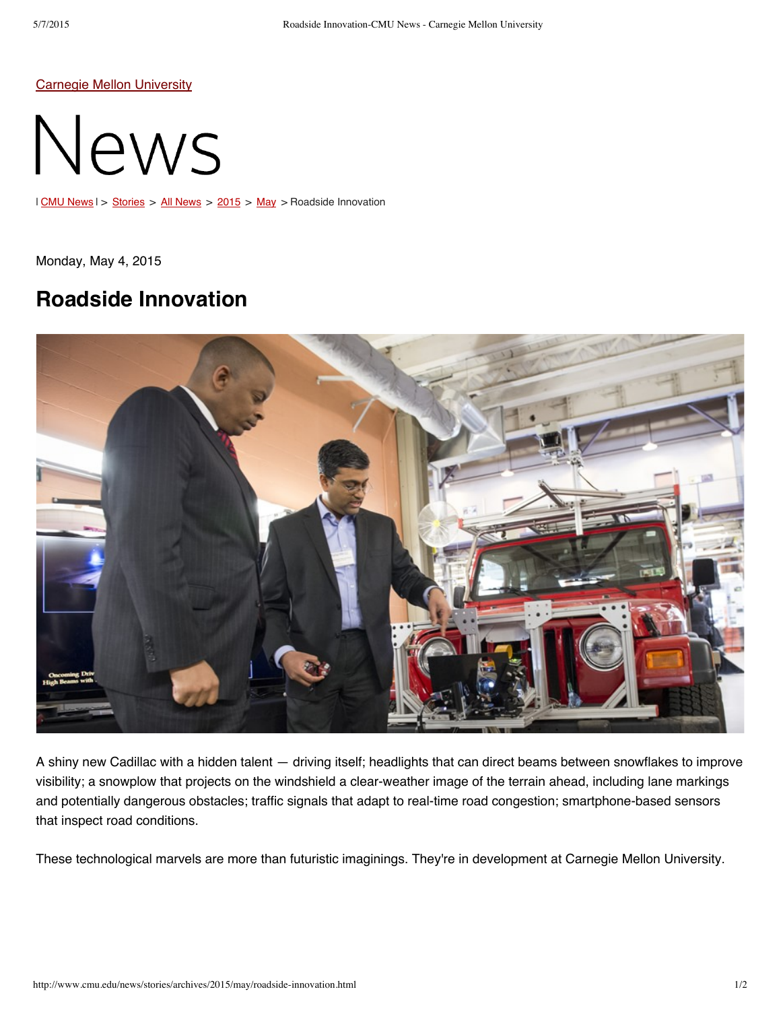Carnegie Mellon [University](http://www.cmu.edu/)



| CMU [News](http://www.cmu.edu/news/stories/archives/index.html) | > [Stories](http://www.cmu.edu/news/stories/index.html) > All News > [2015](http://www.cmu.edu/news/stories/archives/2015/index.html) > [May](http://www.cmu.edu/news/stories/archives/2015/may/index.html) > Roadside Innovation

Monday, May 4, 2015

## **Roadside Innovation**



A shiny new Cadillac with a hidden talent — driving itself; headlights that can direct beams between snowflakes to improve visibility; a snowplow that projects on the windshield a clear-weather image of the terrain ahead, including lane markings and potentially dangerous obstacles; traffic signals that adapt to real-time road congestion; smartphone-based sensors that inspect road conditions.

These technological marvels are more than futuristic imaginings. They're in development at Carnegie Mellon University.